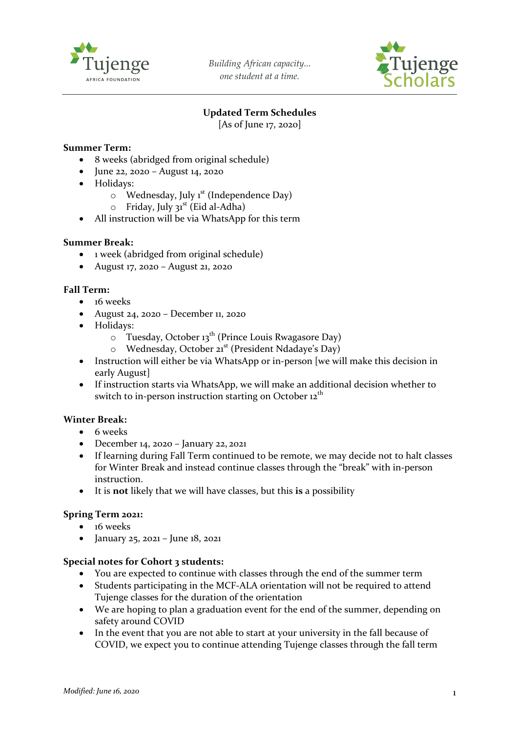

*Building African capacity... one student at a time.*



# **Updated Term Schedules**

[As of June 17, 2020]

## **Summer Term:**

- 8 weeks (abridged from original schedule)
- June 22, 2020 August 14, 2020
- Holidays:
	- $\circ$  Wednesday, July 1<sup>st</sup> (Independence Day)
	- $\circ$  Friday, July 31<sup>st</sup> (Eid al-Adha)
- All instruction will be via WhatsApp for this term

### **Summer Break:**

- 1 week (abridged from original schedule)
- August 17, 2020 August 21, 2020

### **Fall Term:**

- 16 weeks
- August 24, 2020 December 11, 2020
- Holidays:
	- $\circ$  Tuesday, October 13<sup>th</sup> (Prince Louis Rwagasore Day)
	- o Wednesday, October 21st (President Ndadaye's Day)
- Instruction will either be via WhatsApp or in-person [we will make this decision in early August]
- If instruction starts via WhatsApp, we will make an additional decision whether to switch to in-person instruction starting on October  $12<sup>th</sup>$

### **Winter Break:**

- 6 weeks
- December 14, 2020 January 22, 2021
- If learning during Fall Term continued to be remote, we may decide not to halt classes for Winter Break and instead continue classes through the "break" with in-person instruction.
- It is **not** likely that we will have classes, but this **is** a possibility

### **Spring Term 2021:**

- 16 weeks
- January 25, 2021 June 18, 2021

### **Special notes for Cohort 3 students:**

- You are expected to continue with classes through the end of the summer term
- Students participating in the MCF-ALA orientation will not be required to attend Tujenge classes for the duration of the orientation
- We are hoping to plan a graduation event for the end of the summer, depending on safety around COVID
- In the event that you are not able to start at your university in the fall because of COVID, we expect you to continue attending Tujenge classes through the fall term